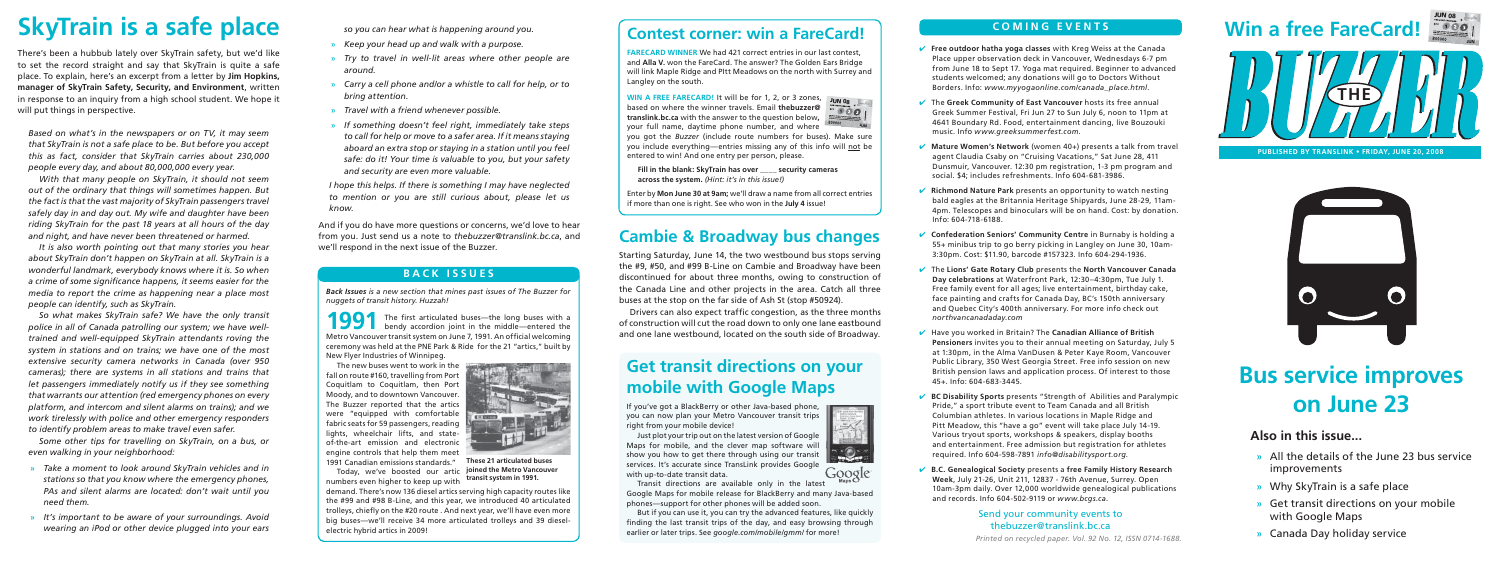*Printed on recycled paper. Vol. 92 No. 12, ISSN 0714-1688.*

## **COMING EVENTS**



**PUBLISHED BY TRANSLINK • FRIDAY, JUNE 20, 2008** 



✔ **Free outdoor hatha yoga classes** with Kreg Weiss at the Canada Place upper observation deck in Vancouver, Wednesdays 6-7 pm from June 18 to Sept 17. Yoga mat required. Beginner to advanced students welcomed; any donations will go to Doctors Without Borders. Info: *www.myyogaonline.com/canada\_place.html*.

✔ The **Greek Community of East Vancouver** hosts its free annual Greek Summer Festival, Fri Jun 27 to Sun July 6, noon to 11pm at 4641 Boundary Rd. Food, entertainment dancing, live Bouzouki music. Info *www.greeksummerfest.com*.

**► Richmond Nature Park** presents an opportunity to watch nesting bald eagles at the Britannia Heritage Shipyards, June 28-29, 11am-4pm. Telescopes and binoculars will be on hand. Cost: by donation. Info: 604-718-6188.

✔ **Mature Women's Network** (women 40+) presents a talk from travel agent Claudia Csaby on "Cruising Vacations," Sat June 28, 411 Dunsmuir, Vancouver. 12:30 pm registration, 1-3 pm program and social. \$4; includes refreshments. Info 604-681-3986.

✔ **Confederation Seniors' Community Centre** in Burnaby is holding a 55+ minibus trip to go berry picking in Langley on June 30, 10am-3:30pm. Cost: \$11.90, barcode #157323. Info 604-294-1936.

## Send your community events to thebuzzer@translink.bc.ca

✔ The **Lions' Gate Rotary Club** presents the **North Vancouver Canada Day celebrations** at Waterfront Park, 12:30–4:30pm, Tue July 1. Free family event for all ages; live entertainment, birthday cake, face painting and crafts for Canada Day, BC's 150th anniversary and Quebec City's 400th anniversary. For more info check out *northvancanadaday.com*

**1991** The first articulated buses—the long buses with a bendy accordion joint in the middle—entered the Metro Vancouver transit system on June 7, 1991. An official welcoming ceremony was held at the PNE Park & Ride for the 21 "artics," built by New Flyer Industries of Winnipeg.

✔ Have you worked in Britain? The **Canadian Alliance of British Pensioners** invites you to their annual meeting on Saturday, July 5 at 1:30pm, in the Alma VanDusen & Peter Kaye Room, Vancouver Public Library, 350 West Georgia Street. Free info session on new British pension laws and application process. Of interest to those 45+. Info: 604-683-3445.

✔ **BC Disability Sports** presents "Strength of Abilities and Paralympic Pride," a sport tribute event to Team Canada and all British Columbian athletes. In various locations in Maple Ridge and Pitt Meadow, this "have a go" event will take place July 14-19. Various tryout sports, workshops & speakers, display booths and entertainment. Free admission but registration for athletes required. Info 604-598-7891 *info@disabilitysport.org*.

**WIN A FREE FARECARD!** It will be for 1, 2, or 3 zones, based on where the winner travels. Email **thebuzzer@translink.bc.ca** with the answer to the question below**,**  your full name, daytime phone number, and where you got the *Buzzer* (include route numbers for buses). Make sure you include everything—entries missing any of this info will not be entered to win! And one entry per person, please. **73 JUNJUN 08**

> ✔ **B.C. Genealogical Society** presents a **free Family History Research Week**, July 21-26, Unit 211, 12837 - 76th Avenue, Surrey. Open 10am-3pm daily. Over 12,000 worldwide genealogical publications and records. Info 604-502-9119 or *www.bcgs.ca*.

## **Also in this issue...**

- **»** All the details of the June 23 bus service improvements
- **»** Why SkyTrain is a safe place
- **»** Get transit directions on your mobile with Google Maps
- **»** Canada Day holiday service

*Back Issues is a new section that mines past issues of The Buzzer for nuggets of transit history. Huzzah!*

The new buses went to work in the fall on route #160, travelling from Port Coquitlam to Coquitlam, then Port Moody, and to downtown Vancouver. The Buzzer reported that the artics were "equipped with comfortable fabric seats for 59 passengers, reading lights, wheelchair lifts, and stateof-the-art emission and electronic engine controls that help them meet 1991 Canadian emissions standards."

Today, we've boosted our artic numbers even higher to keep up with

demand. There's now 136 diesel artics serving high capacity routes like the #99 and #98 B-Line, and this year, we introduced 40 articulated trolleys, chiefly on the #20 route . And next year, we'll have even more big buses—we'll receive 34 more articulated trolleys and 39 dieselelectric hybrid artics in 2009!

And if you do have more questions or concerns, we'd love to hear from you. Just send us a note to *thebuzzer@translink.bc.ca*, and from you. Just send us a note to *thebuzzer@translink.bc.ca*, and<br>We'll respond in the next issue of the Buzzer.<br>Starting Saturday, June 14, the two westbound bus stops serving

## **BACK ISSUES**

## **Contest corner: win a FareCard!**

**FARECARD WINNER** We had 421 correct entries in our last contest, and **Alla V.** won the FareCard. The answer? The Golden Ears Bridge will link Maple Ridge and PItt Meadows on the north with Surrey and Langley on the south.

Drivers can also expect traffic congestion, as the three months of construction will cut the road down to only one lane eastbound and one lane westbound, located on the south side of Broadway.

**Fill in the blank: SkyTrain has over \_\_\_\_ security cameras across the system.** *(Hint: it's in this issue!)*

Enter by **Mon June 30 at 9am;** we'll draw a name from all correct entries if more than one is right. See who won in the **July 4** issue!

# **Bus service improves on June 23**

# **Win a free FareCard! <sup>73</sup>**



**These 21 articulated buses joined the Metro Vancouver transit system in 1991.**

**LUT AN** 

**COMMON STATE** 

# **SkyTrain is a safe place**

There's been a hubbub lately over SkyTrain safety, but we'd like to set the record straight and say that SkyTrain is quite a safe place. To explain, here's an excerpt from a letter by **Jim Hopkins, manager of SkyTrain Safety, Security, and Environment**, written in response to an inquiry from a high school student. We hope it will put things in perspective.

*Based on what's in the newspapers or on TV, it may seem that SkyTrain is not a safe place to be. But before you accept this as fact, consider that SkyTrain carries about 230,000 people every day, and about 80,000,000 every year.* 

*With that many people on SkyTrain, it should not seem out of the ordinary that things will sometimes happen. But the fact is that the vast majority of SkyTrain passengers travel safely day in and day out. My wife and daughter have been riding SkyTrain for the past 18 years at all hours of the day and night, and have never been threatened or harmed.*

*It is also worth pointing out that many stories you hear about SkyTrain don't happen on SkyTrain at all. SkyTrain is a wonderful landmark, everybody knows where it is. So when*  a crime of some significance happens, it seems easier for the *media to report the crime as happening near a place most people can identify, such as SkyTrain.*

*So what makes SkyTrain safe? We have the only transit police in all of Canada patrolling our system; we have welltrained and well-equipped SkyTrain attendants roving the system in stations and on trains; we have one of the most extensive security camera networks in Canada (over 950 cameras); there are systems in all stations and trains that let passengers immediately notify us if they see something that warrants our attention (red emergency phones on every platform, and intercom and silent alarms on trains); and we work tirelessly with police and other emergency responders to identify problem areas to make travel even safer.*

*Some other tips for travelling on SkyTrain, on a bus, or even walking in your neighborhood:*

- **»** *Take a moment to look around SkyTrain vehicles and in stations so that you know where the emergency phones, PAs and silent alarms are located: don't wait until you need them.*
- **»** *It's important to be aware of your surroundings. Avoid wearing an iPod or other device plugged into your ears*

*so you can hear what is happening around you.*

- **»** *Keep your head up and walk with a purpose.*
- **»** *Try to travel in well-lit areas where other people are around.*
- **»** *Carry a cell phone and/or a whistle to call for help, or to bring attention.*
- **»** *Travel with a friend whenever possible.*
- **»** *If something doesn't feel right, immediately take steps to call for help or move to a safer area. If it means staying aboard an extra stop or staying in a station until you feel safe: do it! Your time is valuable to you, but your safety and security are even more valuable.*

*I hope this helps. If there is something I may have neglected to mention or you are still curious about, please let us know.*

> the #9, #50, and #99 B-Line on Cambie and Broadway have been discontinued for about three months, owing to construction of the Canada Line and other projects in the area. Catch all three buses at the stop on the far side of Ash St (stop #50924).

## **Get transit directions on your mobile with Google Maps**

If you've got a BlackBerry or other Java-based phone, you can now plan your Metro Vancouver transit trips right from your mobile device!

Just plot your trip out on the latest version of Google Maps for mobile, and the clever map software will show you how to get there through using our transit services. It's accurate since TransLink provides Google Google with up-to-date transit data.

Transit directions are available only in the latest Google Maps for mobile release for BlackBerry and many Java-based phones—support for other phones will be added soon.

But if you can use it, you can try the advanced features, like quickly finding the last transit trips of the day, and easy browsing through earlier or later trips. See *google.com/mobile/gmm/* for more!





- 
- 
- 
-